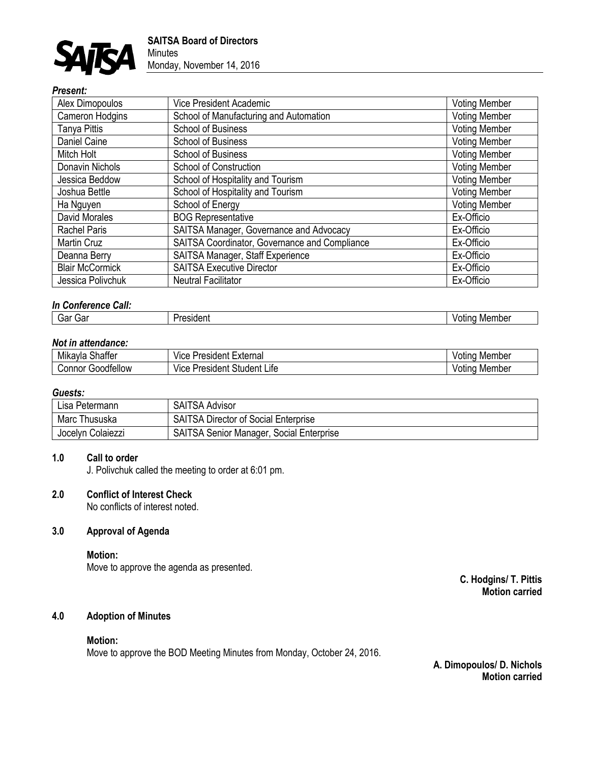

# *Present:*

| Alex Dimopoulos        | Vice President Academic                       | <b>Voting Member</b> |
|------------------------|-----------------------------------------------|----------------------|
| Cameron Hodgins        | School of Manufacturing and Automation        | <b>Voting Member</b> |
| Tanya Pittis           | <b>School of Business</b>                     | <b>Voting Member</b> |
| Daniel Caine           | <b>School of Business</b>                     | <b>Voting Member</b> |
| Mitch Holt             | <b>School of Business</b>                     | <b>Voting Member</b> |
| Donavin Nichols        | School of Construction                        | <b>Voting Member</b> |
| Jessica Beddow         | School of Hospitality and Tourism             | <b>Voting Member</b> |
| Joshua Bettle          | School of Hospitality and Tourism             | <b>Voting Member</b> |
| Ha Nguyen              | School of Energy                              | <b>Voting Member</b> |
| David Morales          | <b>BOG Representative</b>                     | Ex-Officio           |
| <b>Rachel Paris</b>    | SAITSA Manager, Governance and Advocacy       | Ex-Officio           |
| Martin Cruz            | SAITSA Coordinator, Governance and Compliance | Ex-Officio           |
| Deanna Berry           | SAITSA Manager, Staff Experience              | Ex-Officio           |
| <b>Blair McCormick</b> | <b>SAITSA Executive Director</b>              | Ex-Officio           |
| Jessica Polivchuk      | <b>Neutral Facilitator</b>                    | Ex-Officio           |

# *In Conference Call:*

| Gar<br>- iviembe.<br>sinen<br>∪di<br>.<br>. |
|---------------------------------------------|
|---------------------------------------------|

## *Not in attendance:*

| <br><br>$\sim$<br>Shatter<br>Mikavla | President<br>∟xternal<br>VICE<br>ur-<br>-<br>_     | Member<br>Votina |
|--------------------------------------|----------------------------------------------------|------------------|
| -<br>Goodfellow<br>' onnorٽ          | <br>$\sim$<br>President<br>Student<br>∟ıte<br>Vice | Member<br>Votina |

# *Guests:*

| Lisa Petermann    | <b>SAITSA Advisor</b>                           |
|-------------------|-------------------------------------------------|
| Marc Thususka     | <b>SAITSA Director of Social Enterprise</b>     |
| Jocelyn Colaiezzi | <b>SAITSA Senior Manager, Social Enterprise</b> |

## **1.0 Call to order**

J. Polivchuk called the meeting to order at 6:01 pm.

## **2.0 Conflict of Interest Check**

No conflicts of interest noted.

# **3.0 Approval of Agenda**

**Motion:**

Move to approve the agenda as presented.

**C. Hodgins/ T. Pittis Motion carried**

# **4.0 Adoption of Minutes**

#### **Motion:**

Move to approve the BOD Meeting Minutes from Monday, October 24, 2016.

**A. Dimopoulos/ D. Nichols Motion carried**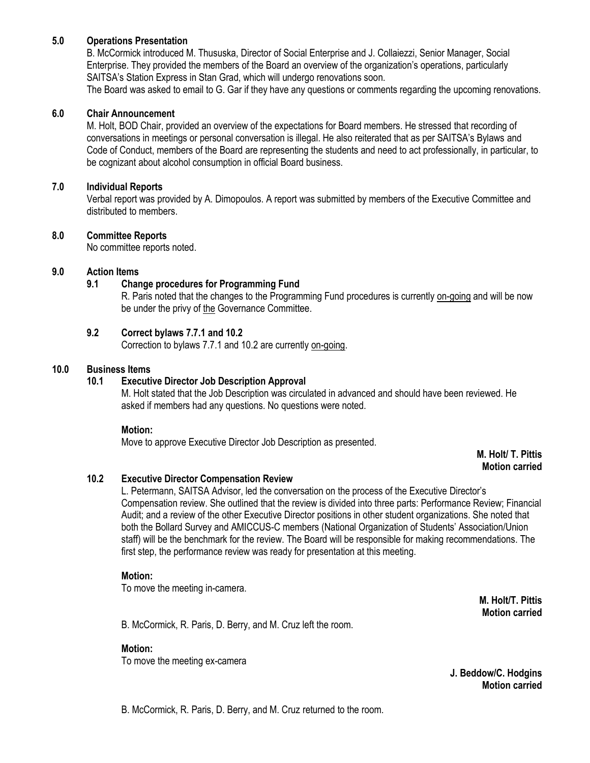## **5.0 Operations Presentation**

B. McCormick introduced M. Thususka, Director of Social Enterprise and J. Collaiezzi, Senior Manager, Social Enterprise. They provided the members of the Board an overview of the organization's operations, particularly SAITSA's Station Express in Stan Grad, which will undergo renovations soon.

The Board was asked to email to G. Gar if they have any questions or comments regarding the upcoming renovations.

### **6.0 Chair Announcement**

M. Holt, BOD Chair, provided an overview of the expectations for Board members. He stressed that recording of conversations in meetings or personal conversation is illegal. He also reiterated that as per SAITSA's Bylaws and Code of Conduct, members of the Board are representing the students and need to act professionally, in particular, to be cognizant about alcohol consumption in official Board business.

### **7.0 Individual Reports**

Verbal report was provided by A. Dimopoulos. A report was submitted by members of the Executive Committee and distributed to members.

## **8.0 Committee Reports**

No committee reports noted.

## **9.0 Action Items**

## **9.1 Change procedures for Programming Fund**

R. Paris noted that the changes to the Programming Fund procedures is currently on-going and will be now be under the privy of the Governance Committee.

## **9.2 Correct bylaws 7.7.1 and 10.2**

Correction to bylaws 7.7.1 and 10.2 are currently on-going.

#### **10.0 Business Items**

## **10.1 Executive Director Job Description Approval**

M. Holt stated that the Job Description was circulated in advanced and should have been reviewed. He asked if members had any questions. No questions were noted.

#### **Motion:**

Move to approve Executive Director Job Description as presented.

**M. Holt/ T. Pittis Motion carried**

## **10.2 Executive Director Compensation Review**

L. Petermann, SAITSA Advisor, led the conversation on the process of the Executive Director's Compensation review. She outlined that the review is divided into three parts: Performance Review; Financial Audit; and a review of the other Executive Director positions in other student organizations. She noted that both the Bollard Survey and AMICCUS-C members (National Organization of Students' Association/Union staff) will be the benchmark for the review. The Board will be responsible for making recommendations. The first step, the performance review was ready for presentation at this meeting.

#### **Motion:**

To move the meeting in-camera.

**M. Holt/T. Pittis Motion carried**

B. McCormick, R. Paris, D. Berry, and M. Cruz left the room.

## **Motion:**

To move the meeting ex-camera

**J. Beddow/C. Hodgins Motion carried**

B. McCormick, R. Paris, D. Berry, and M. Cruz returned to the room.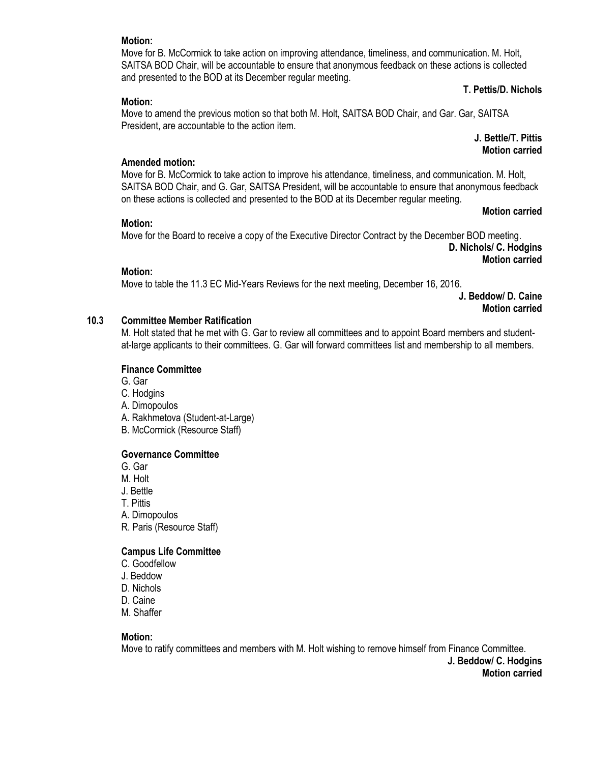### **T. Pettis/D. Nichols**

#### **Motion:**

Move to amend the previous motion so that both M. Holt, SAITSA BOD Chair, and Gar. Gar, SAITSA President, are accountable to the action item.

and presented to the BOD at its December regular meeting.

Move for B. McCormick to take action on improving attendance, timeliness, and communication. M. Holt, SAITSA BOD Chair, will be accountable to ensure that anonymous feedback on these actions is collected

## **J. Bettle/T. Pittis Motion carried**

#### **Amended motion:**

Move for B. McCormick to take action to improve his attendance, timeliness, and communication. M. Holt, SAITSA BOD Chair, and G. Gar, SAITSA President, will be accountable to ensure that anonymous feedback on these actions is collected and presented to the BOD at its December regular meeting.

#### **Motion:**

Move for the Board to receive a copy of the Executive Director Contract by the December BOD meeting.

**D. Nichols/ C. Hodgins Motion carried**

**Motion carried**

#### **Motion:**

Move to table the 11.3 EC Mid-Years Reviews for the next meeting, December 16, 2016.

**J. Beddow/ D. Caine Motion carried**

#### **10.3 Committee Member Ratification**

M. Holt stated that he met with G. Gar to review all committees and to appoint Board members and studentat-large applicants to their committees. G. Gar will forward committees list and membership to all members.

#### **Finance Committee**

G. Gar

- C. Hodgins
- A. Dimopoulos
- A. Rakhmetova (Student-at-Large)
- B. McCormick (Resource Staff)

#### **Governance Committee**

G. Gar

- M. Holt
- J. Bettle
- T. Pittis
- A. Dimopoulos
- R. Paris (Resource Staff)

## **Campus Life Committee**

- C. Goodfellow
- J. Beddow
- D. Nichols
- D. Caine
- M. Shaffer

#### **Motion:**

Move to ratify committees and members with M. Holt wishing to remove himself from Finance Committee. **J. Beddow/ C. Hodgins Motion carried**

#### **Motion:**